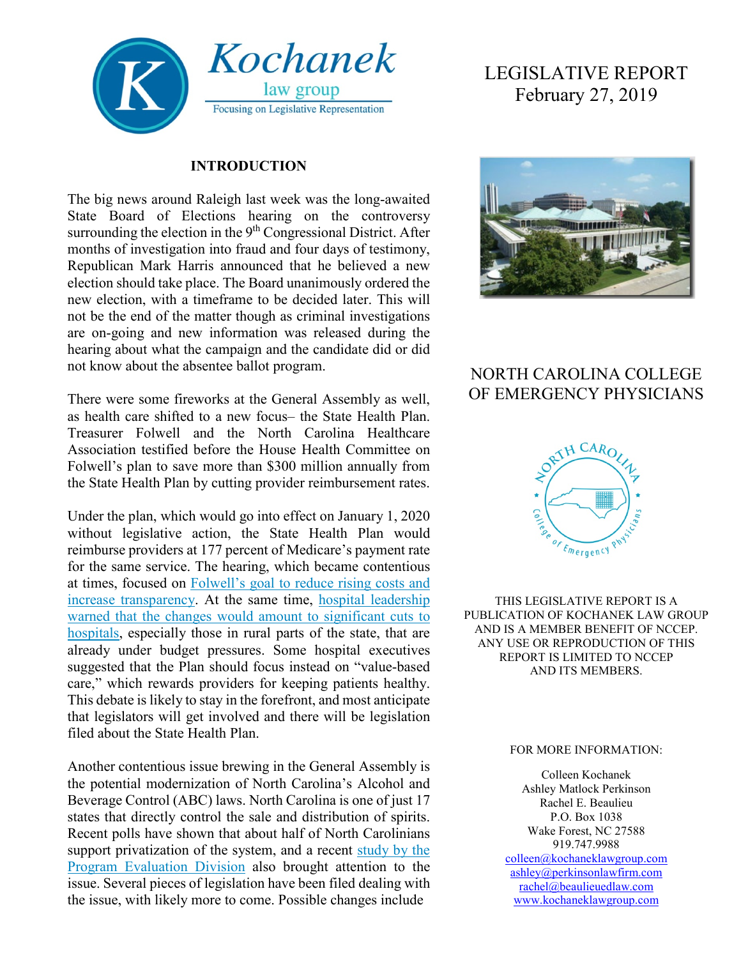

#### **INTRODUCTION**

The big news around Raleigh last week was the long-awaited State Board of Elections hearing on the controversy surrounding the election in the 9<sup>th</sup> Congressional District. After months of investigation into fraud and four days of testimony, Republican Mark Harris announced that he believed a new election should take place. The Board unanimously ordered the new election, with a timeframe to be decided later. This will not be the end of the matter though as criminal investigations are on-going and new information was released during the hearing about what the campaign and the candidate did or did not know about the absentee ballot program.

There were some fireworks at the General Assembly as well, as health care shifted to a new focus– the State Health Plan. Treasurer Folwell and the North Carolina Healthcare Association testified before the House Health Committee on Folwell's plan to save more than \$300 million annually from the State Health Plan by cutting provider reimbursement rates.

Under the plan, which would go into effect on January 1, 2020 without legislative action, the State Health Plan would reimburse providers at 177 percent of Medicare's payment rate for the same service. The hearing, which became contentious at times, focused on Folwell's [goal to reduce rising costs and](https://www.ncleg.gov/documentsites/committees/house2019-26/02-19-2019/GASHPUpdate2.2019FINAL.pdf)  [increase transparency.](https://www.ncleg.gov/documentsites/committees/house2019-26/02-19-2019/GASHPUpdate2.2019FINAL.pdf) At the same time, [hospital leadership](https://www.ncleg.gov/documentsites/committees/house2019-26/02-19-2019/SHP%20Presentation%20NCHA%201%20(002).pdf)  [warned that the changes would amount to significant cuts to](https://www.ncleg.gov/documentsites/committees/house2019-26/02-19-2019/SHP%20Presentation%20NCHA%201%20(002).pdf)  [hospitals,](https://www.ncleg.gov/documentsites/committees/house2019-26/02-19-2019/SHP%20Presentation%20NCHA%201%20(002).pdf) especially those in rural parts of the state, that are already under budget pressures. Some hospital executives suggested that the Plan should focus instead on "value-based care," which rewards providers for keeping patients healthy. This debate is likely to stay in the forefront, and most anticipate that legislators will get involved and there will be legislation filed about the State Health Plan.

Another contentious issue brewing in the General Assembly is the potential modernization of North Carolina's Alcohol and Beverage Control (ABC) laws. North Carolina is one of just 17 states that directly control the sale and distribution of spirits. Recent polls have shown that about half of North Carolinians support privatization of the system, and a recent study by the [Program Evaluation Division](https://www.ncleg.net/PED/Reports/2019/ModernizingABC.html) also brought attention to the issue. Several pieces of legislation have been filed dealing with the issue, with likely more to come. Possible changes include

# LEGISLATIVE REPORT February 27, 2019



## NORTH CAROLINA COLLEGE OF EMERGENCY PHYSICIANS



THIS LEGISLATIVE REPORT IS A PUBLICATION OF KOCHANEK LAW GROUP AND IS A MEMBER BENEFIT OF NCCEP. ANY USE OR REPRODUCTION OF THIS REPORT IS LIMITED TO NCCEP AND ITS MEMBERS.

#### FOR MORE INFORMATION:

Colleen Kochanek Ashley Matlock Perkinson Rachel E. Beaulieu P.O. Box 1038 Wake Forest, NC 27588 919.747.9988 [colleen@kochaneklawgroup.com](mailto:colleen@kochaneklawgroup.com) [ashley@perkinsonlawfirm.com](mailto:ashley@perkinsonlawfirm.com) [rachel@beaulieuedlaw.com](mailto:rachel@beaulieuedlaw.com) [www.kochaneklawgroup.com](http://www.kochaneklawgroup.com/)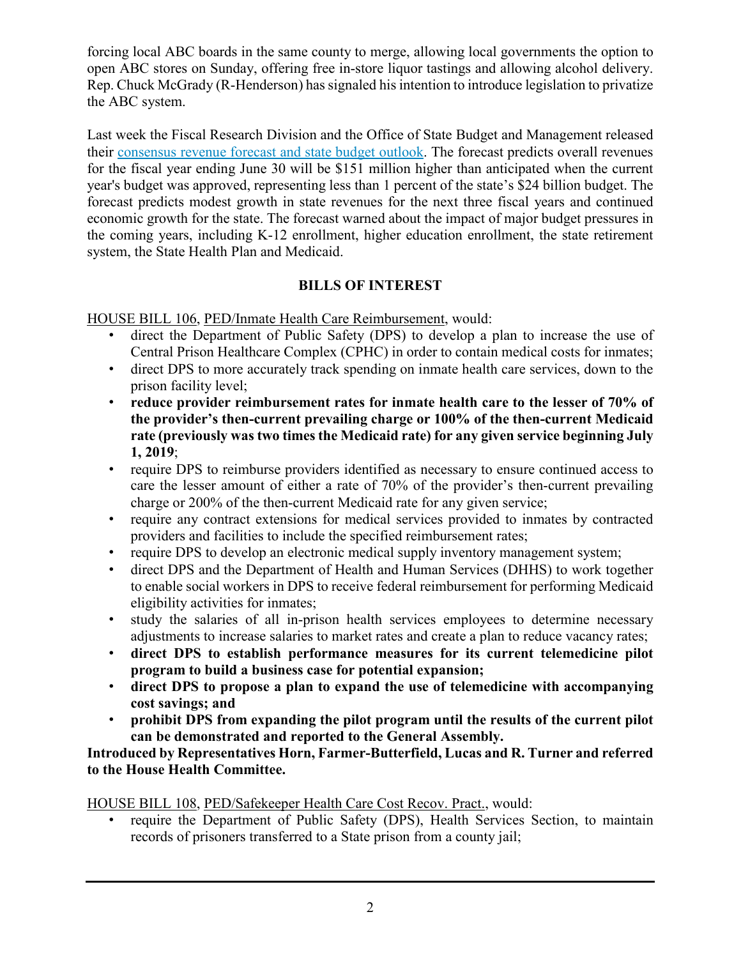forcing local ABC boards in the same county to merge, allowing local governments the option to open ABC stores on Sunday, offering free in-store liquor tastings and allowing alcohol delivery. Rep. Chuck McGrady (R-Henderson) has signaled his intention to introduce legislation to privatize the ABC system.

Last week the Fiscal Research Division and the Office of State Budget and Management released their [consensus revenue forecast and state budget outlook.](https://www.ncleg.gov/documentsites/Committees/HouseAppropriations/2019%20Session/Feb%2020/Consensus%20Revenue_Budget%20Overview_Fiscal_REVISED_02_21_2019.pdf) The forecast predicts overall revenues for the fiscal year ending June 30 will be \$151 million higher than anticipated when the current year's budget was approved, representing less than 1 percent of the state's \$24 billion budget. The forecast predicts modest growth in state revenues for the next three fiscal years and continued economic growth for the state. The forecast warned about the impact of major budget pressures in the coming years, including K-12 enrollment, higher education enrollment, the state retirement system, the State Health Plan and Medicaid.

### **BILLS OF INTEREST**

HOUSE BILL 106, PED/Inmate Health Care Reimbursement, would:

- direct the Department of Public Safety (DPS) to develop a plan to increase the use of Central Prison Healthcare Complex (CPHC) in order to contain medical costs for inmates;
- direct DPS to more accurately track spending on inmate health care services, down to the prison facility level;
- **reduce provider reimbursement rates for inmate health care to the lesser of 70% of the provider's then-current prevailing charge or 100% of the then-current Medicaid rate (previously was two times the Medicaid rate) for any given service beginning July 1, 2019**;
- require DPS to reimburse providers identified as necessary to ensure continued access to care the lesser amount of either a rate of 70% of the provider's then-current prevailing charge or 200% of the then-current Medicaid rate for any given service;
- require any contract extensions for medical services provided to inmates by contracted providers and facilities to include the specified reimbursement rates;
- require DPS to develop an electronic medical supply inventory management system;
- direct DPS and the Department of Health and Human Services (DHHS) to work together to enable social workers in DPS to receive federal reimbursement for performing Medicaid eligibility activities for inmates;
- study the salaries of all in-prison health services employees to determine necessary adjustments to increase salaries to market rates and create a plan to reduce vacancy rates;
- **direct DPS to establish performance measures for its current telemedicine pilot program to build a business case for potential expansion;**
- **direct DPS to propose a plan to expand the use of telemedicine with accompanying cost savings; and**
- **prohibit DPS from expanding the pilot program until the results of the current pilot can be demonstrated and reported to the General Assembly.**

**Introduced by Representatives Horn, Farmer-Butterfield, Lucas and R. Turner and referred to the House Health Committee.**

HOUSE BILL 108, PED/Safekeeper Health Care Cost Recov. Pract., would:

• require the Department of Public Safety (DPS), Health Services Section, to maintain records of prisoners transferred to a State prison from a county jail;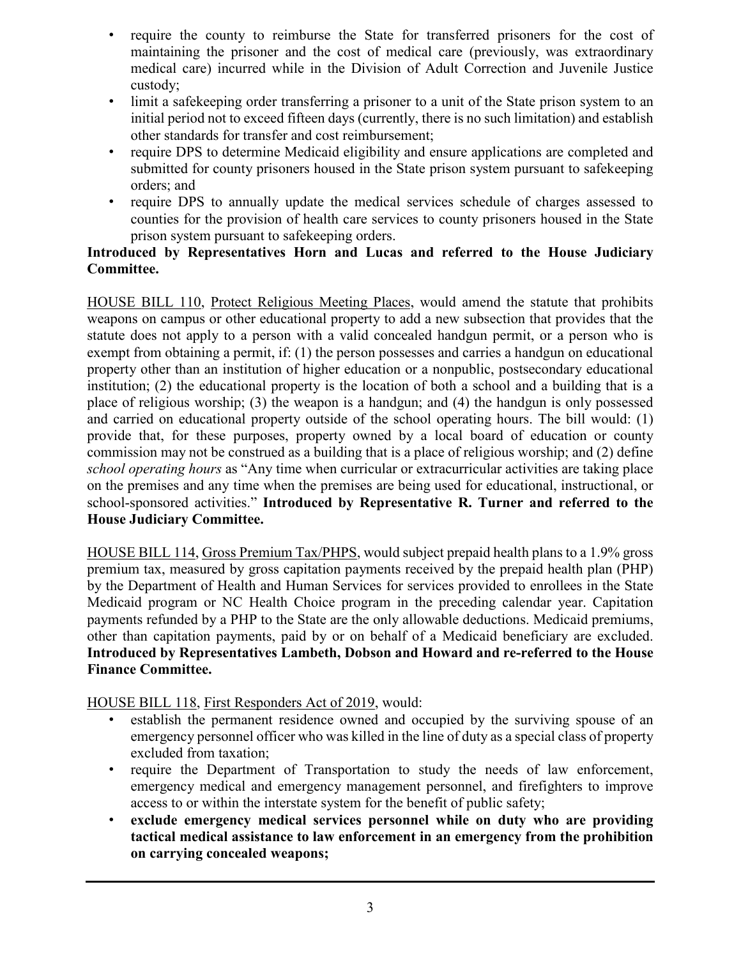- require the county to reimburse the State for transferred prisoners for the cost of maintaining the prisoner and the cost of medical care (previously, was extraordinary medical care) incurred while in the Division of Adult Correction and Juvenile Justice custody;
- limit a safekeeping order transferring a prisoner to a unit of the State prison system to an initial period not to exceed fifteen days (currently, there is no such limitation) and establish other standards for transfer and cost reimbursement;
- require DPS to determine Medicaid eligibility and ensure applications are completed and submitted for county prisoners housed in the State prison system pursuant to safekeeping orders; and
- require DPS to annually update the medical services schedule of charges assessed to counties for the provision of health care services to county prisoners housed in the State prison system pursuant to safekeeping orders.

#### **Introduced by Representatives Horn and Lucas and referred to the House Judiciary Committee.**

HOUSE BILL 110, Protect Religious Meeting Places, would amend the statute that prohibits weapons on campus or other educational property to add a new subsection that provides that the statute does not apply to a person with a valid concealed handgun permit, or a person who is exempt from obtaining a permit, if: (1) the person possesses and carries a handgun on educational property other than an institution of higher education or a nonpublic, postsecondary educational institution; (2) the educational property is the location of both a school and a building that is a place of religious worship; (3) the weapon is a handgun; and (4) the handgun is only possessed and carried on educational property outside of the school operating hours. The bill would: (1) provide that, for these purposes, property owned by a local board of education or county commission may not be construed as a building that is a place of religious worship; and (2) define *school operating hours* as "Any time when curricular or extracurricular activities are taking place on the premises and any time when the premises are being used for educational, instructional, or school-sponsored activities." **Introduced by Representative R. Turner and referred to the House Judiciary Committee.**

HOUSE BILL 114, Gross Premium Tax/PHPS, would subject prepaid health plans to a 1.9% gross premium tax, measured by gross capitation payments received by the prepaid health plan (PHP) by the Department of Health and Human Services for services provided to enrollees in the State Medicaid program or NC Health Choice program in the preceding calendar year. Capitation payments refunded by a PHP to the State are the only allowable deductions. Medicaid premiums, other than capitation payments, paid by or on behalf of a Medicaid beneficiary are excluded. **Introduced by Representatives Lambeth, Dobson and Howard and re-referred to the House Finance Committee.**

HOUSE BILL 118, First Responders Act of 2019, would:

- establish the permanent residence owned and occupied by the surviving spouse of an emergency personnel officer who was killed in the line of duty as a special class of property excluded from taxation;
- require the Department of Transportation to study the needs of law enforcement, emergency medical and emergency management personnel, and firefighters to improve access to or within the interstate system for the benefit of public safety;
- **exclude emergency medical services personnel while on duty who are providing tactical medical assistance to law enforcement in an emergency from the prohibition on carrying concealed weapons;**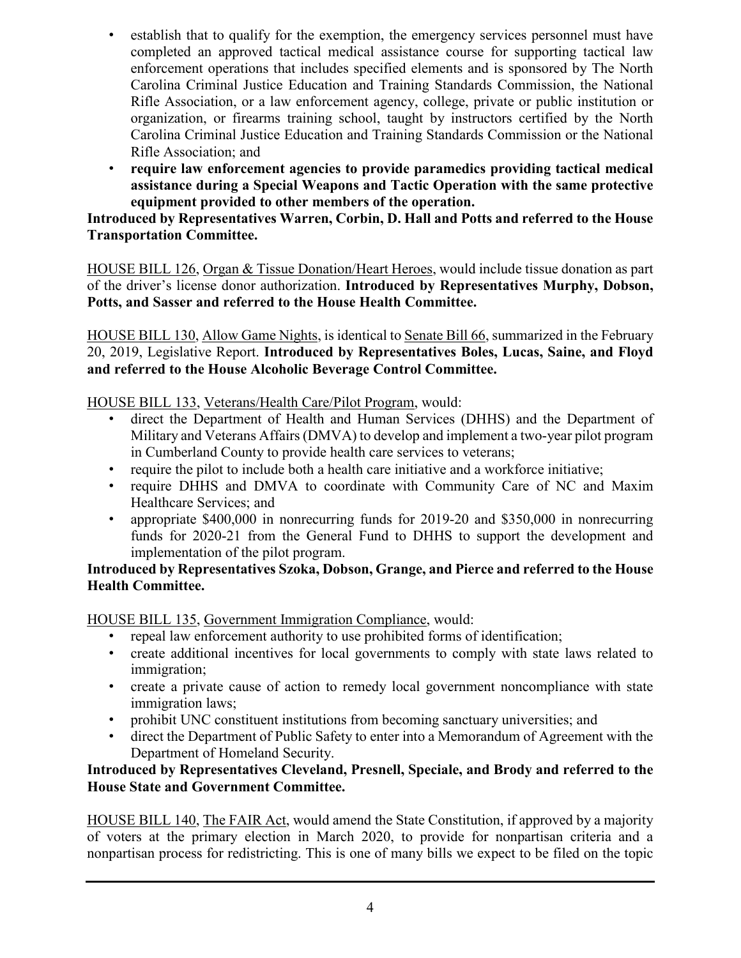- establish that to qualify for the exemption, the emergency services personnel must have completed an approved tactical medical assistance course for supporting tactical law enforcement operations that includes specified elements and is sponsored by The North Carolina Criminal Justice Education and Training Standards Commission, the National Rifle Association, or a law enforcement agency, college, private or public institution or organization, or firearms training school, taught by instructors certified by the North Carolina Criminal Justice Education and Training Standards Commission or the National Rifle Association; and
- **require law enforcement agencies to provide paramedics providing tactical medical assistance during a Special Weapons and Tactic Operation with the same protective equipment provided to other members of the operation.**

**Introduced by Representatives Warren, Corbin, D. Hall and Potts and referred to the House Transportation Committee.**

HOUSE BILL 126, Organ & Tissue Donation/Heart Heroes, would include tissue donation as part of the driver's license donor authorization. **Introduced by Representatives Murphy, Dobson, Potts, and Sasser and referred to the House Health Committee.**

HOUSE BILL 130, Allow Game Nights, is identical to Senate Bill 66, summarized in the February 20, 2019, Legislative Report. **Introduced by Representatives Boles, Lucas, Saine, and Floyd and referred to the House Alcoholic Beverage Control Committee.**

HOUSE BILL 133, Veterans/Health Care/Pilot Program, would:

- direct the Department of Health and Human Services (DHHS) and the Department of Military and Veterans Affairs (DMVA) to develop and implement a two-year pilot program in Cumberland County to provide health care services to veterans;
- require the pilot to include both a health care initiative and a workforce initiative;
- require DHHS and DMVA to coordinate with Community Care of NC and Maxim Healthcare Services; and
- appropriate \$400,000 in nonrecurring funds for 2019-20 and \$350,000 in nonrecurring funds for 2020-21 from the General Fund to DHHS to support the development and implementation of the pilot program.

#### **Introduced by Representatives Szoka, Dobson, Grange, and Pierce and referred to the House Health Committee.**

HOUSE BILL 135, Government Immigration Compliance, would:

- repeal law enforcement authority to use prohibited forms of identification;
- create additional incentives for local governments to comply with state laws related to immigration;
- create a private cause of action to remedy local government noncompliance with state immigration laws;
- prohibit UNC constituent institutions from becoming sanctuary universities; and
- direct the Department of Public Safety to enter into a Memorandum of Agreement with the Department of Homeland Security.

#### **Introduced by Representatives Cleveland, Presnell, Speciale, and Brody and referred to the House State and Government Committee.**

HOUSE BILL 140, The FAIR Act, would amend the State Constitution, if approved by a majority of voters at the primary election in March 2020, to provide for nonpartisan criteria and a nonpartisan process for redistricting. This is one of many bills we expect to be filed on the topic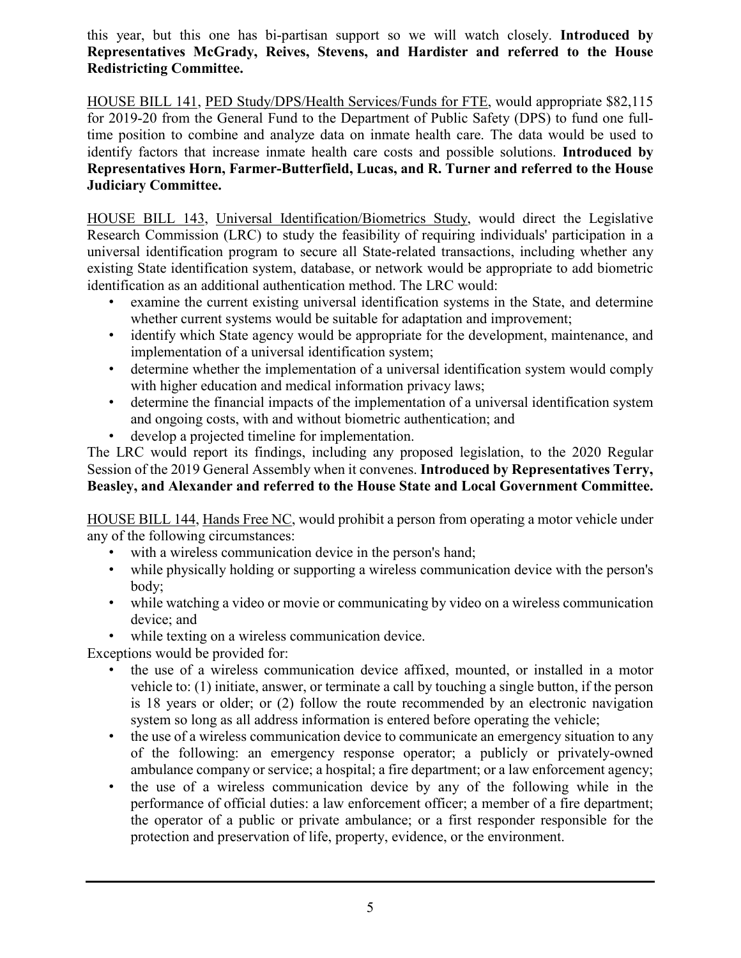this year, but this one has bi-partisan support so we will watch closely. **Introduced by Representatives McGrady, Reives, Stevens, and Hardister and referred to the House Redistricting Committee.**

HOUSE BILL 141, PED Study/DPS/Health Services/Funds for FTE, would appropriate \$82,115 for 2019-20 from the General Fund to the Department of Public Safety (DPS) to fund one fulltime position to combine and analyze data on inmate health care. The data would be used to identify factors that increase inmate health care costs and possible solutions. **Introduced by Representatives Horn, Farmer-Butterfield, Lucas, and R. Turner and referred to the House Judiciary Committee.**

HOUSE BILL 143, Universal Identification/Biometrics Study, would direct the Legislative Research Commission (LRC) to study the feasibility of requiring individuals' participation in a universal identification program to secure all State-related transactions, including whether any existing State identification system, database, or network would be appropriate to add biometric identification as an additional authentication method. The LRC would:

- examine the current existing universal identification systems in the State, and determine whether current systems would be suitable for adaptation and improvement;
- identify which State agency would be appropriate for the development, maintenance, and implementation of a universal identification system;
- determine whether the implementation of a universal identification system would comply with higher education and medical information privacy laws;
- determine the financial impacts of the implementation of a universal identification system and ongoing costs, with and without biometric authentication; and
- develop a projected timeline for implementation.

The LRC would report its findings, including any proposed legislation, to the 2020 Regular Session of the 2019 General Assembly when it convenes. **Introduced by Representatives Terry, Beasley, and Alexander and referred to the House State and Local Government Committee.**

HOUSE BILL 144, Hands Free NC, would prohibit a person from operating a motor vehicle under any of the following circumstances:

- with a wireless communication device in the person's hand;
- while physically holding or supporting a wireless communication device with the person's body;
- while watching a video or movie or communicating by video on a wireless communication device; and
- while texting on a wireless communication device.

Exceptions would be provided for:

- the use of a wireless communication device affixed, mounted, or installed in a motor vehicle to: (1) initiate, answer, or terminate a call by touching a single button, if the person is 18 years or older; or (2) follow the route recommended by an electronic navigation system so long as all address information is entered before operating the vehicle;
- the use of a wireless communication device to communicate an emergency situation to any of the following: an emergency response operator; a publicly or privately-owned ambulance company or service; a hospital; a fire department; or a law enforcement agency;
- the use of a wireless communication device by any of the following while in the performance of official duties: a law enforcement officer; a member of a fire department; the operator of a public or private ambulance; or a first responder responsible for the protection and preservation of life, property, evidence, or the environment.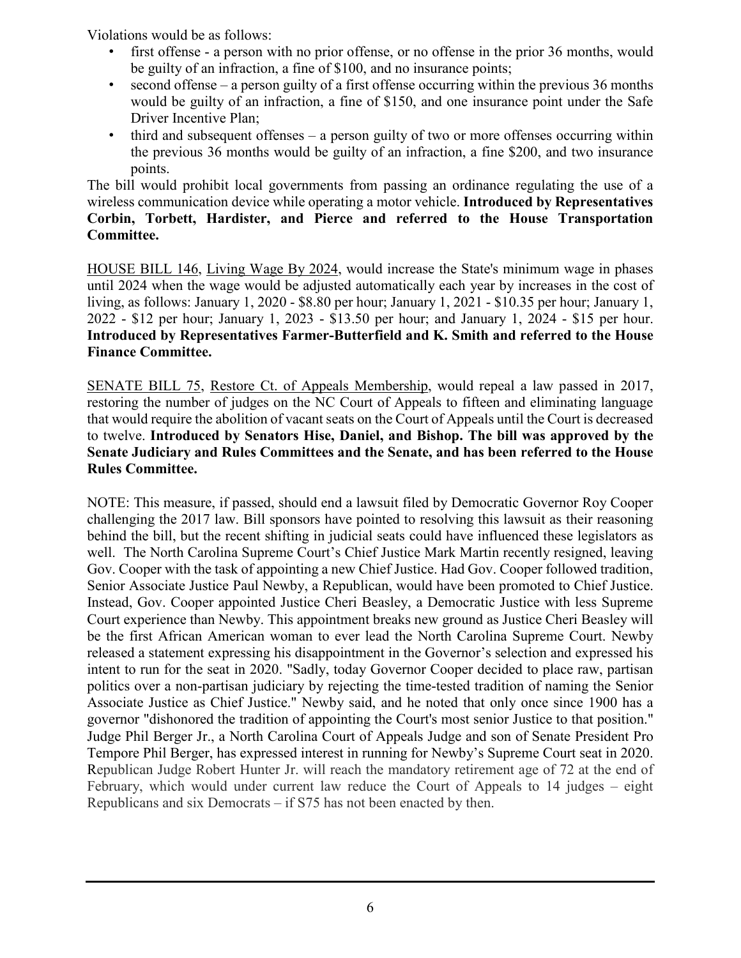Violations would be as follows:

- first offense a person with no prior offense, or no offense in the prior 36 months, would be guilty of an infraction, a fine of \$100, and no insurance points;
- second offense a person guilty of a first offense occurring within the previous 36 months would be guilty of an infraction, a fine of \$150, and one insurance point under the Safe Driver Incentive Plan;
- third and subsequent offenses a person guilty of two or more offenses occurring within the previous 36 months would be guilty of an infraction, a fine \$200, and two insurance points.

The bill would prohibit local governments from passing an ordinance regulating the use of a wireless communication device while operating a motor vehicle. **Introduced by Representatives Corbin, Torbett, Hardister, and Pierce and referred to the House Transportation Committee.**

HOUSE BILL 146, Living Wage By 2024, would increase the State's minimum wage in phases until 2024 when the wage would be adjusted automatically each year by increases in the cost of living, as follows: January 1, 2020 - \$8.80 per hour; January 1, 2021 - \$10.35 per hour; January 1, 2022 - \$12 per hour; January 1, 2023 - \$13.50 per hour; and January 1, 2024 - \$15 per hour. **Introduced by Representatives Farmer-Butterfield and K. Smith and referred to the House Finance Committee.**

SENATE BILL 75, Restore Ct. of Appeals Membership, would repeal a law passed in 2017, restoring the number of judges on the NC Court of Appeals to fifteen and eliminating language that would require the abolition of vacant seats on the Court of Appeals until the Court is decreased to twelve. **Introduced by Senators Hise, Daniel, and Bishop. The bill was approved by the Senate Judiciary and Rules Committees and the Senate, and has been referred to the House Rules Committee.** 

NOTE: This measure, if passed, should end a lawsuit filed by Democratic Governor Roy Cooper challenging the 2017 law. Bill sponsors have pointed to resolving this lawsuit as their reasoning behind the bill, but the recent shifting in judicial seats could have influenced these legislators as well. The North Carolina Supreme Court's Chief Justice Mark Martin recently resigned, leaving Gov. Cooper with the task of appointing a new Chief Justice. Had Gov. Cooper followed tradition, Senior Associate Justice Paul Newby, a Republican, would have been promoted to Chief Justice. Instead, Gov. Cooper appointed Justice Cheri Beasley, a Democratic Justice with less Supreme Court experience than Newby. This appointment breaks new ground as Justice Cheri Beasley will be the first African American woman to ever lead the North Carolina Supreme Court. Newby released a statement expressing his disappointment in the Governor's selection and expressed his intent to run for the seat in 2020. "Sadly, today Governor Cooper decided to place raw, partisan politics over a non-partisan judiciary by rejecting the time-tested tradition of naming the Senior Associate Justice as Chief Justice." Newby said, and he noted that only once since 1900 has a governor "dishonored the tradition of appointing the Court's most senior Justice to that position." Judge Phil Berger Jr., a North Carolina Court of Appeals Judge and son of Senate President Pro Tempore Phil Berger, has expressed interest in running for Newby's Supreme Court seat in 2020. Republican Judge Robert Hunter Jr. will reach the mandatory retirement age of 72 at the end of February, which would under current law reduce the Court of Appeals to 14 judges – eight Republicans and six Democrats – if S75 has not been enacted by then.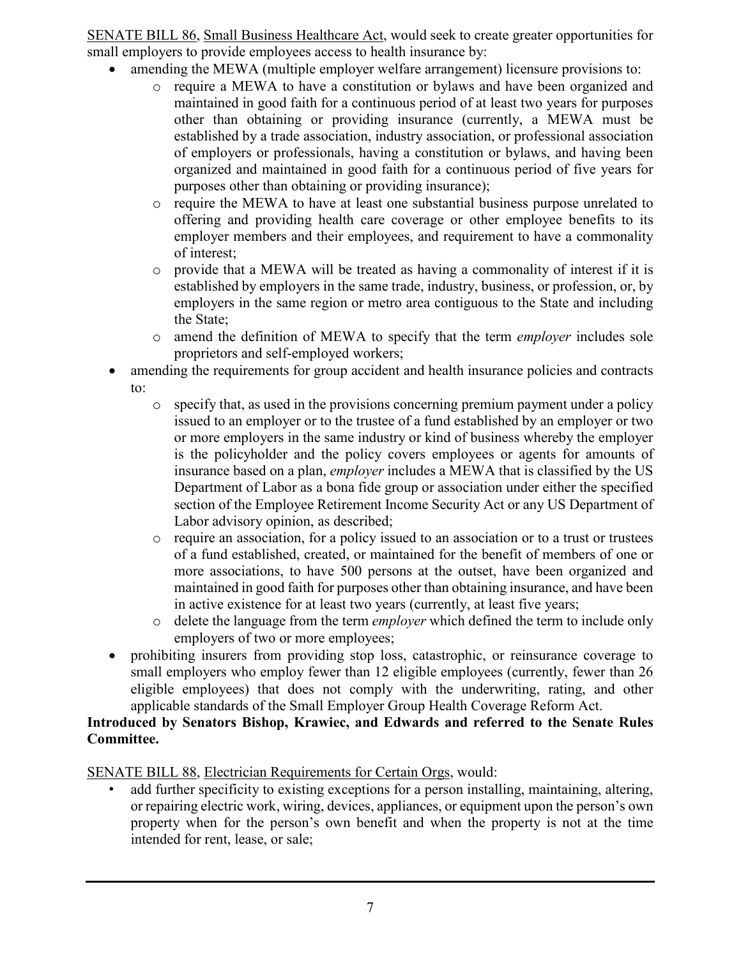SENATE BILL 86, Small Business Healthcare Act, would seek to create greater opportunities for small employers to provide employees access to health insurance by:

- amending the MEWA (multiple employer welfare arrangement) licensure provisions to:
	- o require a MEWA to have a constitution or bylaws and have been organized and maintained in good faith for a continuous period of at least two years for purposes other than obtaining or providing insurance (currently, a MEWA must be established by a trade association, industry association, or professional association of employers or professionals, having a constitution or bylaws, and having been organized and maintained in good faith for a continuous period of five years for purposes other than obtaining or providing insurance);
	- o require the MEWA to have at least one substantial business purpose unrelated to offering and providing health care coverage or other employee benefits to its employer members and their employees, and requirement to have a commonality of interest;
	- o provide that a MEWA will be treated as having a commonality of interest if it is established by employers in the same trade, industry, business, or profession, or, by employers in the same region or metro area contiguous to the State and including the State;
	- o amend the definition of MEWA to specify that the term *employer* includes sole proprietors and self-employed workers;
- amending the requirements for group accident and health insurance policies and contracts to:
	- o specify that, as used in the provisions concerning premium payment under a policy issued to an employer or to the trustee of a fund established by an employer or two or more employers in the same industry or kind of business whereby the employer is the policyholder and the policy covers employees or agents for amounts of insurance based on a plan, *employer* includes a MEWA that is classified by the US Department of Labor as a bona fide group or association under either the specified section of the Employee Retirement Income Security Act or any US Department of Labor advisory opinion, as described;
	- o require an association, for a policy issued to an association or to a trust or trustees of a fund established, created, or maintained for the benefit of members of one or more associations, to have 500 persons at the outset, have been organized and maintained in good faith for purposes other than obtaining insurance, and have been in active existence for at least two years (currently, at least five years;
	- o delete the language from the term *employer* which defined the term to include only employers of two or more employees;
- prohibiting insurers from providing stop loss, catastrophic, or reinsurance coverage to small employers who employ fewer than 12 eligible employees (currently, fewer than 26 eligible employees) that does not comply with the underwriting, rating, and other applicable standards of the Small Employer Group Health Coverage Reform Act.

#### **Introduced by Senators Bishop, Krawiec, and Edwards and referred to the Senate Rules Committee.**

#### SENATE BILL 88, Electrician Requirements for Certain Orgs, would:

• add further specificity to existing exceptions for a person installing, maintaining, altering, or repairing electric work, wiring, devices, appliances, or equipment upon the person's own property when for the person's own benefit and when the property is not at the time intended for rent, lease, or sale;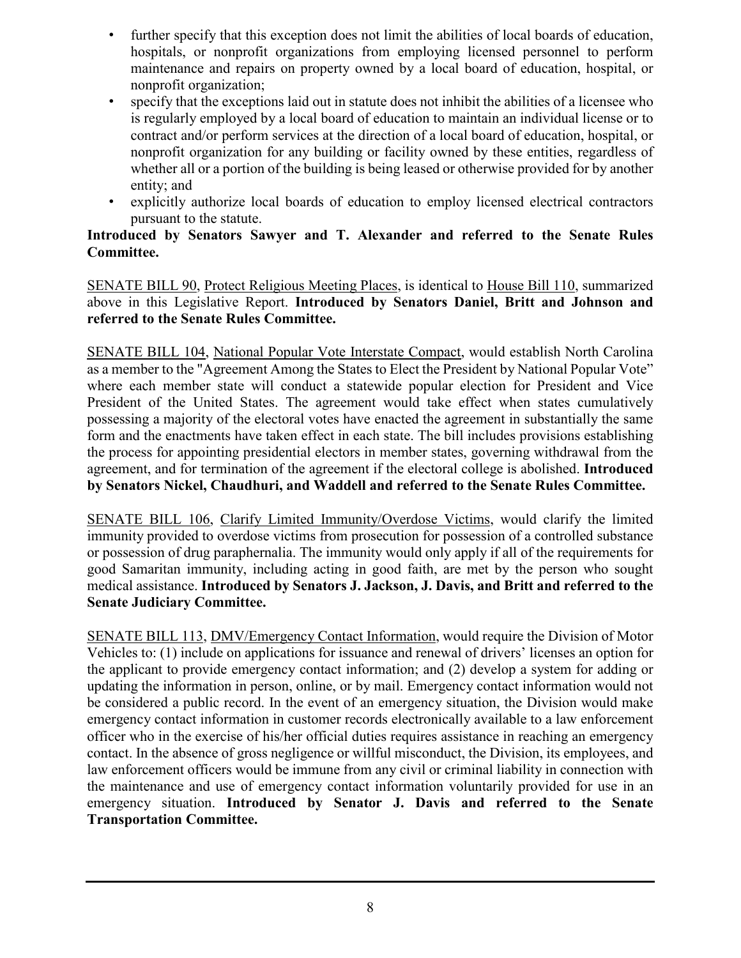- further specify that this exception does not limit the abilities of local boards of education, hospitals, or nonprofit organizations from employing licensed personnel to perform maintenance and repairs on property owned by a local board of education, hospital, or nonprofit organization;
- specify that the exceptions laid out in statute does not inhibit the abilities of a licensee who is regularly employed by a local board of education to maintain an individual license or to contract and/or perform services at the direction of a local board of education, hospital, or nonprofit organization for any building or facility owned by these entities, regardless of whether all or a portion of the building is being leased or otherwise provided for by another entity; and
- explicitly authorize local boards of education to employ licensed electrical contractors pursuant to the statute.

#### **Introduced by Senators Sawyer and T. Alexander and referred to the Senate Rules Committee.**

SENATE BILL 90, Protect Religious Meeting Places, is identical to House Bill 110, summarized above in this Legislative Report. **Introduced by Senators Daniel, Britt and Johnson and referred to the Senate Rules Committee.**

SENATE BILL 104, National Popular Vote Interstate Compact, would establish North Carolina as a member to the "Agreement Among the States to Elect the President by National Popular Vote" where each member state will conduct a statewide popular election for President and Vice President of the United States. The agreement would take effect when states cumulatively possessing a majority of the electoral votes have enacted the agreement in substantially the same form and the enactments have taken effect in each state. The bill includes provisions establishing the process for appointing presidential electors in member states, governing withdrawal from the agreement, and for termination of the agreement if the electoral college is abolished. **Introduced by Senators Nickel, Chaudhuri, and Waddell and referred to the Senate Rules Committee.**

SENATE BILL 106, Clarify Limited Immunity/Overdose Victims, would clarify the limited immunity provided to overdose victims from prosecution for possession of a controlled substance or possession of drug paraphernalia. The immunity would only apply if all of the requirements for good Samaritan immunity, including acting in good faith, are met by the person who sought medical assistance. **Introduced by Senators J. Jackson, J. Davis, and Britt and referred to the Senate Judiciary Committee.**

SENATE BILL 113, DMV/Emergency Contact Information, would require the Division of Motor Vehicles to: (1) include on applications for issuance and renewal of drivers' licenses an option for the applicant to provide emergency contact information; and (2) develop a system for adding or updating the information in person, online, or by mail. Emergency contact information would not be considered a public record. In the event of an emergency situation, the Division would make emergency contact information in customer records electronically available to a law enforcement officer who in the exercise of his/her official duties requires assistance in reaching an emergency contact. In the absence of gross negligence or willful misconduct, the Division, its employees, and law enforcement officers would be immune from any civil or criminal liability in connection with the maintenance and use of emergency contact information voluntarily provided for use in an emergency situation. **Introduced by Senator J. Davis and referred to the Senate Transportation Committee.**